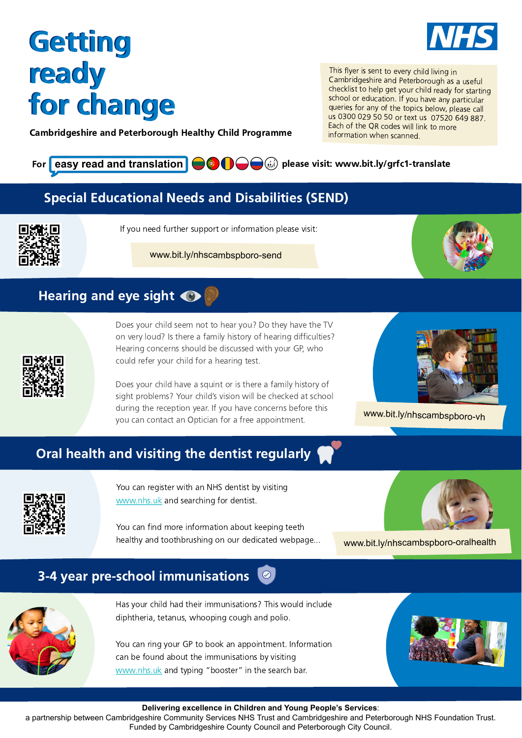This flyer is sent to every child living in Cambridgeshire and Peterborough as a useful checklist to help get your child ready for starting school or education. If you have any particular queries for any of the topics below, please call us 0300 029 50 50 or text us 07520 649 887. Each of the QR codes will link to more information when scanned.

F[or](https://www.bit.ly/grfc1-translate) easy read and translation  $\bigcirc \bullet \bigcirc \bullet$  (iii) [please visit: www.bit.ly/grfc1-translate](https://www.bit.ly/grfc1-translate)

You can register with an NHS dentist by visiting [www.nhs.uk](https://www.nhs.uk/nhs-services/dentists/how-to-find-an-nhs-dentist/) and searching for dentist.

Does your child seem not to hear you? Do they have the TV on very loud? Is there a family history of hearing difficulties? Hearing concerns should be discussed with your GP, who could refer your child for a hearing test.

You can ring your GP to book an appointment. Information can be found about the immunisations by visiting [www.nhs.uk](http://www.nhs.uk/) and typing "booster" in the search bar.



Does your child have a squint or is there a family history of sight problems? Your child's vision will be checked at school during the reception year. If you have concerns before this you can contact an Optician for a free appointment.



You can find more information about keeping teeth healthy and toothbrushing on our dedicated webpage...



Has your child had their immunisations? This would include diphtheria, tetanus, whooping cough and polio.

# Getting Getting ready ready for change for change

### 3-4 year pre-school immunisations





**Delivering excellence in Children and Young People's Services**:

a partnership between Cambridgeshire Community Services NHS Trust and Cambridgeshire and Peterborough NHS Foundation Trust. Funded by Cambridgeshire County Council and Peterborough City Council.

[www.bit.ly/nhscambspboro-oralhealth](http://www.bit.ly/nhscambspboro-oralhealth)

[www.bit.ly/nhscambspboro-vh](http://www.bit.ly/nhscambspboro-vh)

### Oral health and visiting the dentist regularly



If you need further support or information please visit:

[www.bit.ly/nhscambspboro-send](http://www.bit.ly/nhscambspboro-send)



### Hearing and eye sight  $\bigcirc$



### Special Educational Needs and Disabilities (SEND)



Cambridgeshire and Peterborough Healthy Child Programme

IN HS